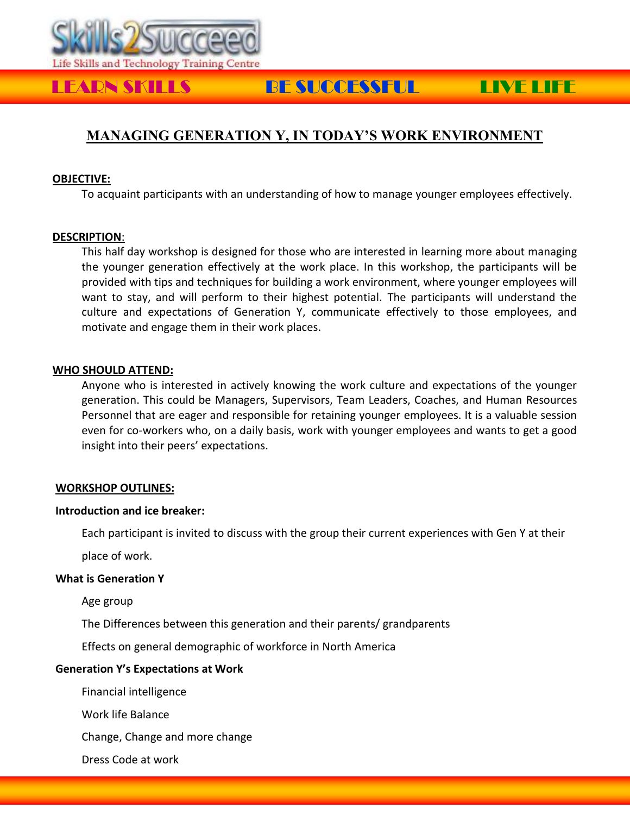

# LEARN SKILLS BE SUCCESSFUL LIVE LIFE

## **MANAGING GENERATION Y, IN TODAY'S WORK ENVIRONMENT**

#### **OBJECTIVE:**

To acquaint participants with an understanding of how to manage younger employees effectively.

#### **DESCRIPTION**:

This half day workshop is designed for those who are interested in learning more about managing the younger generation effectively at the work place. In this workshop, the participants will be provided with tips and techniques for building a work environment, where younger employees will want to stay, and will perform to their highest potential. The participants will understand the culture and expectations of Generation Y, communicate effectively to those employees, and motivate and engage them in their work places.

#### **WHO SHOULD ATTEND:**

Anyone who is interested in actively knowing the work culture and expectations of the younger generation. This could be Managers, Supervisors, Team Leaders, Coaches, and Human Resources Personnel that are eager and responsible for retaining younger employees. It is a valuable session even for co-workers who, on a daily basis, work with younger employees and wants to get a good insight into their peers' expectations.

#### **WORKSHOP OUTLINES:**

#### **Introduction and ice breaker:**

Each participant is invited to discuss with the group their current experiences with Gen Y at their

place of work.

#### **What is Generation Y**

Age group

The Differences between this generation and their parents/ grandparents

Effects on general demographic of workforce in North America

#### **Generation Y's Expectations at Work**

Financial intelligence

Work life Balance

Change, Change and more change

Dress Code at work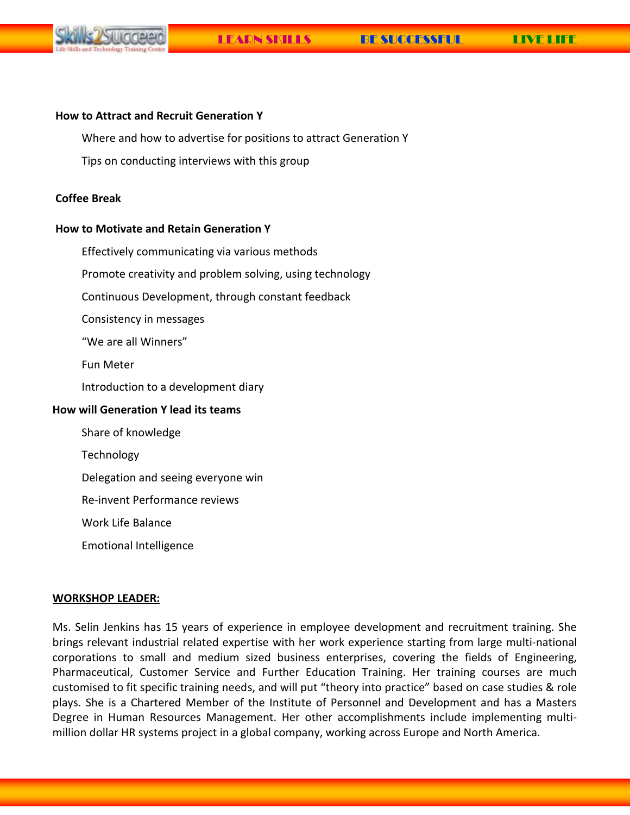

#### **How to Attract and Recruit Generation Y**

Where and how to advertise for positions to attract Generation Y

Tips on conducting interviews with this group

### **Coffee Break**

#### **How to Motivate and Retain Generation Y**

Effectively communicating via various methods

Promote creativity and problem solving, using technology

Continuous Development, through constant feedback

Consistency in messages

"We are all Winners"

Fun Meter

Introduction to a development diary

### **How will Generation Y lead its teams**

Share of knowledge

Technology

Delegation and seeing everyone win

Re-invent Performance reviews

Work Life Balance

Emotional Intelligence

#### **WORKSHOP LEADER:**

Ms. Selin Jenkins has 15 years of experience in employee development and recruitment training. She brings relevant industrial related expertise with her work experience starting from large multi-national corporations to small and medium sized business enterprises, covering the fields of Engineering, Pharmaceutical, Customer Service and Further Education Training. Her training courses are much customised to fit specific training needs, and will put "theory into practice" based on case studies & role plays. She is a Chartered Member of the Institute of Personnel and Development and has a Masters Degree in Human Resources Management. Her other accomplishments include implementing multimillion dollar HR systems project in a global company, working across Europe and North America.